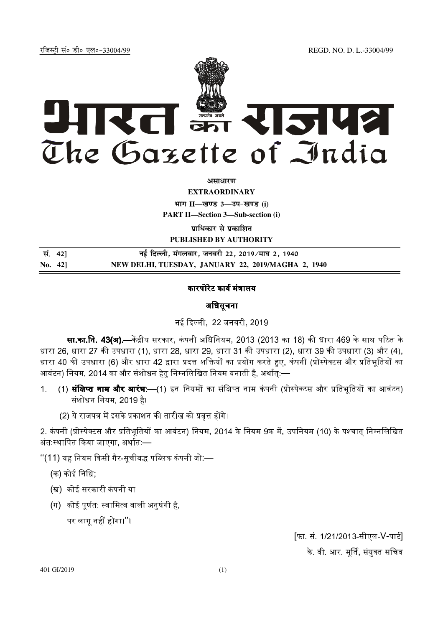REGD. NO. D. L.-33004/99

रजिस्टी सं० डी० एल०-33004/99



असाधारण

**EXTRAORDINARY** भाग II-खण्ड 3-उप-खण्ड (i)

**PART II-Section 3-Sub-section (i)** 

प्राधिकार से प्रकाशित **PUBLISHED BY AUTHORITY** 

| सं. 421 |         | नई दिल्ली, मंगलवार, जनवरी 22, 2019∕माघ 2, 1940     |
|---------|---------|----------------------------------------------------|
|         | No. 421 | NEW DELHI, TUESDAY, JANUARY 22, 2019/MAGHA 2, 1940 |

## कारपोरेट कार्य मंत्रालय

अधिसूचना

नई दिल्ली 22 जनवरी 2019

**सा.का.नि. 43(अ).—**केंद्रीय सरकार, कंपनी अधिनियम, 2013 (2013 का 18) की धारा 469 के साथ पठित के धारा 26, धारा 27 की उपधारा (1), धारा 28, धारा 29, धारा 31 की उपधारा (2), धारा 39 की उपधारा (3) और (4), धारा 40 की उपधारा (6) और धारा 42 द्वारा प्रदत्त शक्तियों का प्रयोग करते हुए, कंपनी (प्रोस्पेक्टस और प्रतिभूतियों का आवंटन) नियम, 2014 का और संशोधन हेतु निम्नलिखित नियम बनाती है, अर्थातुः—

- (1) **संक्षिप्त नाम और आरंभ:—**(1) इन नियमों का संक्षिप्त नाम कंपनी (प्रोस्पेक्टस और प्रतिभूतियों का आवंटन)  $\mathbf{1}$ संशोधन नियम, 2019 है।
	- (2) ये राजपत्र में इसके प्रकाशन की तारीख को प्रवृत्त होंगे।

2. कंपनी (प्रोस्पेक्टस और प्रतिभूतियों का आवंटन) नियम, 2014 के नियम 9क में, उपनियम (10) के पश्चात् निम्नलिखित अंत स्थापित किया जाएगा, अर्थात —

"(11) यह नियम किसी गैर-सूचीबद्ध पब्लिक कंपनी जो:—

(क) कोई निधि;

- (ख) कोई सरकारी कंपनी या
- (ग) कोई पूर्णत: स्वामित्व वाली अनुषंगी है,

पर लागू नहीं होगा।''।

[फा. सं. 1/21/2013-सीएल-V-पार्ट] के वी आर मूर्ति, संयुक्त सचिव

401 GI/2019